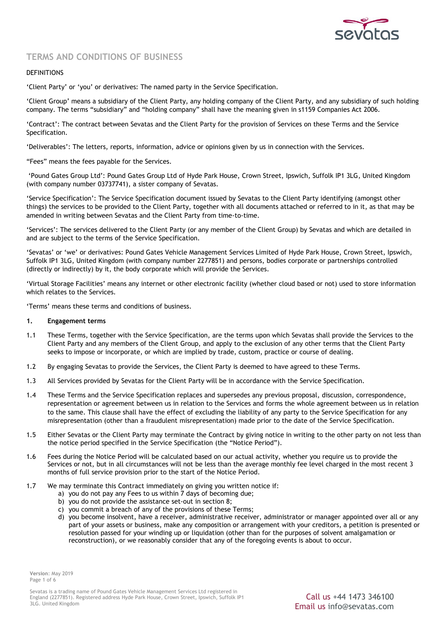

# **TERMS AND CONDITIONS OF BUSINESS**

# DEFINITIONS

'Client Party' or 'you' or derivatives: The named party in the Service Specification.

'Client Group' means a subsidiary of the Client Party, any holding company of the Client Party, and any subsidiary of such holding company. The terms "subsidiary" and "holding company" shall have the meaning given in s1159 Companies Act 2006.

'Contract': The contract between Sevatas and the Client Party for the provision of Services on these Terms and the Service Specification.

'Deliverables': The letters, reports, information, advice or opinions given by us in connection with the Services.

"Fees" means the fees payable for the Services.

'Pound Gates Group Ltd': Pound Gates Group Ltd of Hyde Park House, Crown Street, Ipswich, Suffolk IP1 3LG, United Kingdom (with company number 03737741), a sister company of Sevatas.

'Service Specification': The Service Specification document issued by Sevatas to the Client Party identifying (amongst other things) the services to be provided to the Client Party, together with all documents attached or referred to in it, as that may be amended in writing between Sevatas and the Client Party from time-to-time.

'Services': The services delivered to the Client Party (or any member of the Client Group) by Sevatas and which are detailed in and are subject to the terms of the Service Specification.

'Sevatas' or 'we' or derivatives: Pound Gates Vehicle Management Services Limited of Hyde Park House, Crown Street, Ipswich, Suffolk IP1 3LG, United Kingdom (with company number 2277851) and persons, bodies corporate or partnerships controlled (directly or indirectly) by it, the body corporate which will provide the Services.

'Virtual Storage Facilities' means any internet or other electronic facility (whether cloud based or not) used to store information which relates to the Services.

'Terms' means these terms and conditions of business.

#### **1. Engagement terms**

- 1.1 These Terms, together with the Service Specification, are the terms upon which Sevatas shall provide the Services to the Client Party and any members of the Client Group, and apply to the exclusion of any other terms that the Client Party seeks to impose or incorporate, or which are implied by trade, custom, practice or course of dealing.
- 1.2 By engaging Sevatas to provide the Services, the Client Party is deemed to have agreed to these Terms.
- 1.3 All Services provided by Sevatas for the Client Party will be in accordance with the Service Specification.
- 1.4 These Terms and the Service Specification replaces and supersedes any previous proposal, discussion, correspondence, representation or agreement between us in relation to the Services and forms the whole agreement between us in relation to the same. This clause shall have the effect of excluding the liability of any party to the Service Specification for any misrepresentation (other than a fraudulent misrepresentation) made prior to the date of the Service Specification.
- 1.5 Either Sevatas or the Client Party may terminate the Contract by giving notice in writing to the other party on not less than the notice period specified in the Service Specification (the "Notice Period").
- 1.6 Fees during the Notice Period will be calculated based on our actual activity, whether you require us to provide the Services or not, but in all circumstances will not be less than the average monthly fee level charged in the most recent 3 months of full service provision prior to the start of the Notice Period.
- 1.7 We may terminate this Contract immediately on giving you written notice if:
	- a) you do not pay any Fees to us within 7 days of becoming due;
	- b) you do not provide the assistance set-out in section 8;
	- c) you commit a breach of any of the provisions of these Terms;
	- d) you become insolvent, have a receiver, administrative receiver, administrator or manager appointed over all or any part of your assets or business, make any composition or arrangement with your creditors, a petition is presented or resolution passed for your winding up or liquidation (other than for the purposes of solvent amalgamation or reconstruction), or we reasonably consider that any of the foregoing events is about to occur.

**Version**: May 2019 Page 1 of 6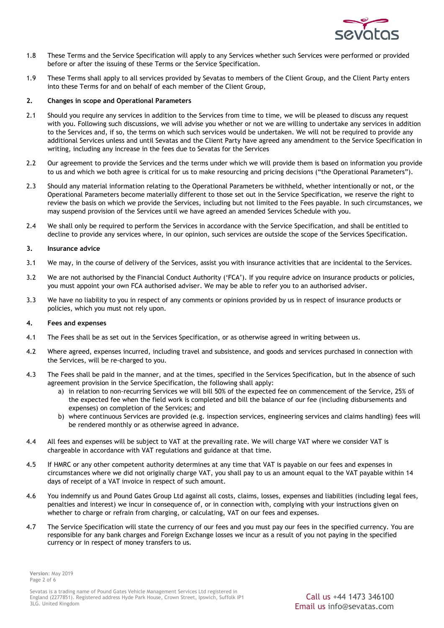

- 1.8 These Terms and the Service Specification will apply to any Services whether such Services were performed or provided before or after the issuing of these Terms or the Service Specification.
- 1.9 These Terms shall apply to all services provided by Sevatas to members of the Client Group, and the Client Party enters into these Terms for and on behalf of each member of the Client Group,

# **2. Changes in scope and Operational Parameters**

- 2.1 Should you require any services in addition to the Services from time to time, we will be pleased to discuss any request with you. Following such discussions, we will advise you whether or not we are willing to undertake any services in addition to the Services and, if so, the terms on which such services would be undertaken. We will not be required to provide any additional Services unless and until Sevatas and the Client Party have agreed any amendment to the Service Specification in writing, including any increase in the fees due to Sevatas for the Services
- 2.2 Our agreement to provide the Services and the terms under which we will provide them is based on information you provide to us and which we both agree is critical for us to make resourcing and pricing decisions ("the Operational Parameters").
- 2.3 Should any material information relating to the Operational Parameters be withheld, whether intentionally or not, or the Operational Parameters become materially different to those set out in the Service Specification, we reserve the right to review the basis on which we provide the Services, including but not limited to the Fees payable. In such circumstances, we may suspend provision of the Services until we have agreed an amended Services Schedule with you.
- 2.4 We shall only be required to perform the Services in accordance with the Service Specification, and shall be entitled to decline to provide any services where, in our opinion, such services are outside the scope of the Services Specification.

#### **3. Insurance advice**

- 3.1 We may, in the course of delivery of the Services, assist you with insurance activities that are incidental to the Services.
- 3.2 We are not authorised by the Financial Conduct Authority ('FCA'). If you require advice on insurance products or policies, you must appoint your own FCA authorised adviser. We may be able to refer you to an authorised adviser.
- 3.3 We have no liability to you in respect of any comments or opinions provided by us in respect of insurance products or policies, which you must not rely upon.

#### **4. Fees and expenses**

- 4.1 The Fees shall be as set out in the Services Specification, or as otherwise agreed in writing between us.
- 4.2 Where agreed, expenses incurred, including travel and subsistence, and goods and services purchased in connection with the Services, will be re-charged to you.
- 4.3 The Fees shall be paid in the manner, and at the times, specified in the Services Specification, but in the absence of such agreement provision in the Service Specification, the following shall apply:
	- a) in relation to non-recurring Services we will bill 50% of the expected fee on commencement of the Service, 25% of the expected fee when the field work is completed and bill the balance of our fee (including disbursements and expenses) on completion of the Services; and
	- b) where continuous Services are provided (e.g. inspection services, engineering services and claims handling) fees will be rendered monthly or as otherwise agreed in advance.
- 4.4 All fees and expenses will be subject to VAT at the prevailing rate. We will charge VAT where we consider VAT is chargeable in accordance with VAT regulations and guidance at that time.
- 4.5 If HMRC or any other competent authority determines at any time that VAT is payable on our fees and expenses in circumstances where we did not originally charge VAT, you shall pay to us an amount equal to the VAT payable within 14 days of receipt of a VAT invoice in respect of such amount.
- 4.6 You indemnify us and Pound Gates Group Ltd against all costs, claims, losses, expenses and liabilities (including legal fees, penalties and interest) we incur in consequence of, or in connection with, complying with your instructions given on whether to charge or refrain from charging, or calculating, VAT on our fees and expenses.
- 4.7 The Service Specification will state the currency of our fees and you must pay our fees in the specified currency. You are responsible for any bank charges and Foreign Exchange losses we incur as a result of you not paying in the specified currency or in respect of money transfers to us.

**Version**: May 2019 Page 2 of 6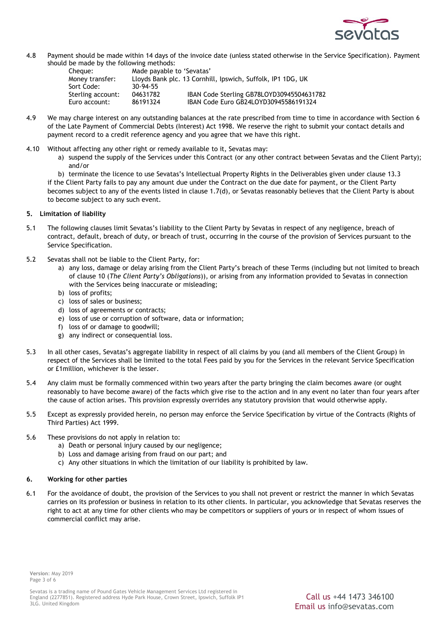

4.8 Payment should be made within 14 days of the invoice date (unless stated otherwise in the Service Specification). Payment should be made by the following methods:

| Cheque:           | Made payable to 'Sevatas'                                   |                                           |
|-------------------|-------------------------------------------------------------|-------------------------------------------|
| Money transfer:   | Lloyds Bank plc. 13 Cornhill, Ipswich, Suffolk, IP1 1DG, UK |                                           |
| Sort Code:        | $30 - 94 - 55$                                              |                                           |
| Sterling account: | 04631782                                                    | IBAN Code Sterling GB78LOYD30945504631782 |
| Euro account:     | 86191324                                                    | IBAN Code Euro GB24LOYD30945586191324     |

- 4.9 We may charge interest on any outstanding balances at the rate prescribed from time to time in accordance with Section 6 of the Late Payment of Commercial Debts (Interest) Act 1998. We reserve the right to submit your contact details and payment record to a credit reference agency and you agree that we have this right.
- 4.10 Without affecting any other right or remedy available to it, Sevatas may:
	- a) suspend the supply of the Services under this Contract (or any other contract between Sevatas and the Client Party); and/or

b) terminate the licence to use Sevatas's Intellectual Property Rights in the Deliverables given under clause 13.3 if the Client Party fails to pay any amount due under the Contract on the due date for payment, or the Client Party becomes subject to any of the events listed in clause 1.7(d), or Sevatas reasonably believes that the Client Party is about to become subject to any such event.

# **5. Limitation of liability**

- 5.1 The following clauses limit Sevatas's liability to the Client Party by Sevatas in respect of any negligence, breach of contract, default, breach of duty, or breach of trust, occurring in the course of the provision of Services pursuant to the Service Specification.
- 5.2 Sevatas shall not be liable to the Client Party, for:
	- a) any loss, damage or delay arising from the Client Party's breach of these Terms (including but not limited to breach of clause 10 (*The Client Party's Obligations*)), or arising from any information provided to Sevatas in connection with the Services being inaccurate or misleading;
	- b) loss of profits;
	- c) loss of sales or business;
	- d) loss of agreements or contracts;
	- e) loss of use or corruption of software, data or information;
	- f) loss of or damage to goodwill;
	- g) any indirect or consequential loss.
- 5.3 In all other cases, Sevatas's aggregate liability in respect of all claims by you (and all members of the Client Group) in respect of the Services shall be limited to the total Fees paid by you for the Services in the relevant Service Specification or £1million, whichever is the lesser.
- 5.4 Any claim must be formally commenced within two years after the party bringing the claim becomes aware (or ought reasonably to have become aware) of the facts which give rise to the action and in any event no later than four years after the cause of action arises. This provision expressly overrides any statutory provision that would otherwise apply.
- 5.5 Except as expressly provided herein, no person may enforce the Service Specification by virtue of the Contracts (Rights of Third Parties) Act 1999.
- 5.6 These provisions do not apply in relation to:
	- a) Death or personal injury caused by our negligence;
	- b) Loss and damage arising from fraud on our part; and
	- c) Any other situations in which the limitation of our liability is prohibited by law.

#### **6. Working for other parties**

6.1 For the avoidance of doubt, the provision of the Services to you shall not prevent or restrict the manner in which Sevatas carries on its profession or business in relation to its other clients. In particular, you acknowledge that Sevatas reserves the right to act at any time for other clients who may be competitors or suppliers of yours or in respect of whom issues of commercial conflict may arise.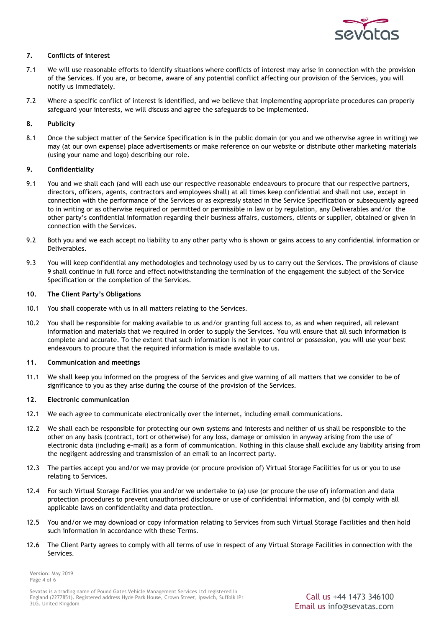

# **7. Conflicts of interest**

- 7.1 We will use reasonable efforts to identify situations where conflicts of interest may arise in connection with the provision of the Services. If you are, or become, aware of any potential conflict affecting our provision of the Services, you will notify us immediately.
- 7.2 Where a specific conflict of interest is identified, and we believe that implementing appropriate procedures can properly safeguard your interests, we will discuss and agree the safeguards to be implemented.

# **8. Publicity**

8.1 Once the subject matter of the Service Specification is in the public domain (or you and we otherwise agree in writing) we may (at our own expense) place advertisements or make reference on our website or distribute other marketing materials (using your name and logo) describing our role.

### **9. Confidentiality**

- 9.1 You and we shall each (and will each use our respective reasonable endeavours to procure that our respective partners, directors, officers, agents, contractors and employees shall) at all times keep confidential and shall not use, except in connection with the performance of the Services or as expressly stated in the Service Specification or subsequently agreed to in writing or as otherwise required or permitted or permissible in law or by regulation, any Deliverables and/or the other party's confidential information regarding their business affairs, customers, clients or supplier, obtained or given in connection with the Services.
- 9.2 Both you and we each accept no liability to any other party who is shown or gains access to any confidential information or Deliverables.
- 9.3 You will keep confidential any methodologies and technology used by us to carry out the Services. The provisions of clause 9 shall continue in full force and effect notwithstanding the termination of the engagement the subject of the Service Specification or the completion of the Services.

### **10. The Client Party's Obligations**

- 10.1 You shall cooperate with us in all matters relating to the Services.
- 10.2 You shall be responsible for making available to us and/or granting full access to, as and when required, all relevant information and materials that we required in order to supply the Services. You will ensure that all such information is complete and accurate. To the extent that such information is not in your control or possession, you will use your best endeavours to procure that the required information is made available to us.

#### **11. Communication and meetings**

11.1 We shall keep you informed on the progress of the Services and give warning of all matters that we consider to be of significance to you as they arise during the course of the provision of the Services.

#### **12. Electronic communication**

- 12.1 We each agree to communicate electronically over the internet, including email communications.
- 12.2 We shall each be responsible for protecting our own systems and interests and neither of us shall be responsible to the other on any basis (contract, tort or otherwise) for any loss, damage or omission in anyway arising from the use of electronic data (including e-mail) as a form of communication. Nothing in this clause shall exclude any liability arising from the negligent addressing and transmission of an email to an incorrect party.
- 12.3 The parties accept you and/or we may provide (or procure provision of) Virtual Storage Facilities for us or you to use relating to Services.
- 12.4 For such Virtual Storage Facilities you and/or we undertake to (a) use (or procure the use of) information and data protection procedures to prevent unauthorised disclosure or use of confidential information, and (b) comply with all applicable laws on confidentiality and data protection.
- 12.5 You and/or we may download or copy information relating to Services from such Virtual Storage Facilities and then hold such information in accordance with these Terms.
- 12.6 The Client Party agrees to comply with all terms of use in respect of any Virtual Storage Facilities in connection with the Services.

**Version**: May 2019 Page 4 of 6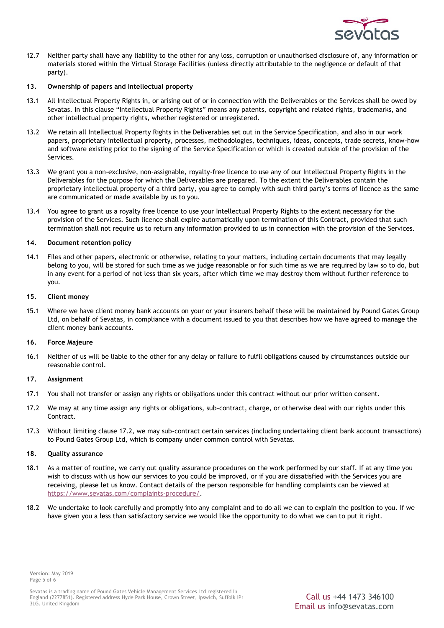

12.7 Neither party shall have any liability to the other for any loss, corruption or unauthorised disclosure of, any information or materials stored within the Virtual Storage Facilities (unless directly attributable to the negligence or default of that party).

### **13. Ownership of papers and Intellectual property**

- 13.1 All Intellectual Property Rights in, or arising out of or in connection with the Deliverables or the Services shall be owed by Sevatas. In this clause "Intellectual Property Rights" means any patents, copyright and related rights, trademarks, and other intellectual property rights, whether registered or unregistered.
- 13.2 We retain all Intellectual Property Rights in the Deliverables set out in the Service Specification, and also in our work papers, proprietary intellectual property, processes, methodologies, techniques, ideas, concepts, trade secrets, know-how and software existing prior to the signing of the Service Specification or which is created outside of the provision of the Services.
- 13.3 We grant you a non-exclusive, non-assignable, royalty-free licence to use any of our Intellectual Property Rights in the Deliverables for the purpose for which the Deliverables are prepared. To the extent the Deliverables contain the proprietary intellectual property of a third party, you agree to comply with such third party's terms of licence as the same are communicated or made available by us to you.
- 13.4 You agree to grant us a royalty free licence to use your Intellectual Property Rights to the extent necessary for the provision of the Services. Such licence shall expire automatically upon termination of this Contract, provided that such termination shall not require us to return any information provided to us in connection with the provision of the Services.

### **14. Document retention policy**

14.1 Files and other papers, electronic or otherwise, relating to your matters, including certain documents that may legally belong to you, will be stored for such time as we judge reasonable or for such time as we are required by law so to do, but in any event for a period of not less than six years, after which time we may destroy them without further reference to you.

#### **15. Client money**

15.1 Where we have client money bank accounts on your or your insurers behalf these will be maintained by Pound Gates Group Ltd, on behalf of Sevatas, in compliance with a document issued to you that describes how we have agreed to manage the client money bank accounts.

# **16. Force Majeure**

16.1 Neither of us will be liable to the other for any delay or failure to fulfil obligations caused by circumstances outside our reasonable control.

# **17. Assignment**

- 17.1 You shall not transfer or assign any rights or obligations under this contract without our prior written consent.
- 17.2 We may at any time assign any rights or obligations, sub-contract, charge, or otherwise deal with our rights under this Contract.
- 17.3 Without limiting clause 17.2, we may sub-contract certain services (including undertaking client bank account transactions) to Pound Gates Group Ltd, which is company under common control with Sevatas.

#### **18. Quality assurance**

- 18.1 As a matter of routine, we carry out quality assurance procedures on the work performed by our staff. If at any time you wish to discuss with us how our services to you could be improved, or if you are dissatisfied with the Services you are receiving, please let us know. Contact details of the person responsible for handling complaints can be viewed at [https://www.sevatas.com/complaints-procedure/.](https://www.sevatas.com/complaints-procedure/)
- 18.2 We undertake to look carefully and promptly into any complaint and to do all we can to explain the position to you. If we have given you a less than satisfactory service we would like the opportunity to do what we can to put it right.